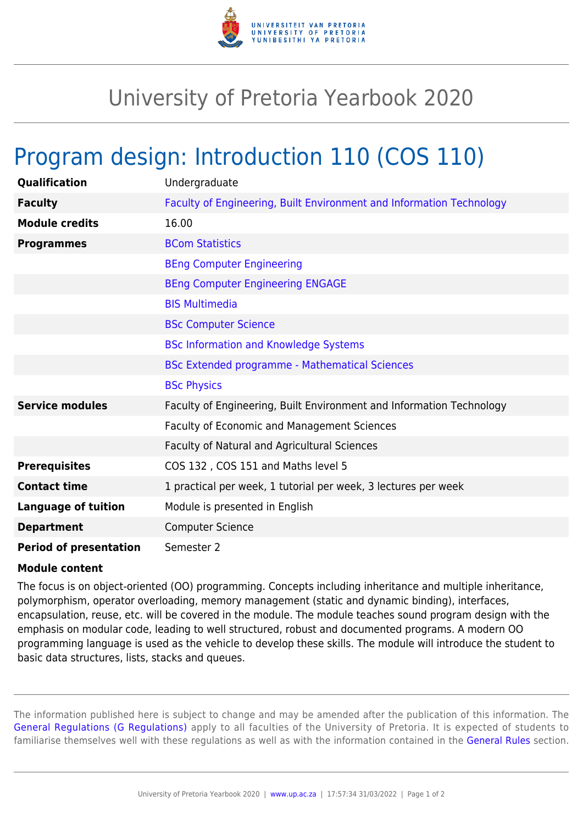

## University of Pretoria Yearbook 2020

## Program design: Introduction 110 (COS 110)

| Qualification                 | Undergraduate                                                        |
|-------------------------------|----------------------------------------------------------------------|
| <b>Faculty</b>                | Faculty of Engineering, Built Environment and Information Technology |
| <b>Module credits</b>         | 16.00                                                                |
| <b>Programmes</b>             | <b>BCom Statistics</b>                                               |
|                               | <b>BEng Computer Engineering</b>                                     |
|                               | <b>BEng Computer Engineering ENGAGE</b>                              |
|                               | <b>BIS Multimedia</b>                                                |
|                               | <b>BSc Computer Science</b>                                          |
|                               | <b>BSc Information and Knowledge Systems</b>                         |
|                               | <b>BSc Extended programme - Mathematical Sciences</b>                |
|                               | <b>BSc Physics</b>                                                   |
| <b>Service modules</b>        | Faculty of Engineering, Built Environment and Information Technology |
|                               | Faculty of Economic and Management Sciences                          |
|                               | Faculty of Natural and Agricultural Sciences                         |
| <b>Prerequisites</b>          | COS 132, COS 151 and Maths level 5                                   |
| <b>Contact time</b>           | 1 practical per week, 1 tutorial per week, 3 lectures per week       |
| <b>Language of tuition</b>    | Module is presented in English                                       |
| <b>Department</b>             | <b>Computer Science</b>                                              |
| <b>Period of presentation</b> | Semester 2                                                           |

## **Module content**

The focus is on object-oriented (OO) programming. Concepts including inheritance and multiple inheritance, polymorphism, operator overloading, memory management (static and dynamic binding), interfaces, encapsulation, reuse, etc. will be covered in the module. The module teaches sound program design with the emphasis on modular code, leading to well structured, robust and documented programs. A modern OO programming language is used as the vehicle to develop these skills. The module will introduce the student to basic data structures, lists, stacks and queues.

The information published here is subject to change and may be amended after the publication of this information. The [General Regulations \(G Regulations\)](https://www.up.ac.za/yearbooks/2020/rules/view/REG) apply to all faculties of the University of Pretoria. It is expected of students to familiarise themselves well with these regulations as well as with the information contained in the [General Rules](https://www.up.ac.za/yearbooks/2020/rules/view/RUL) section.